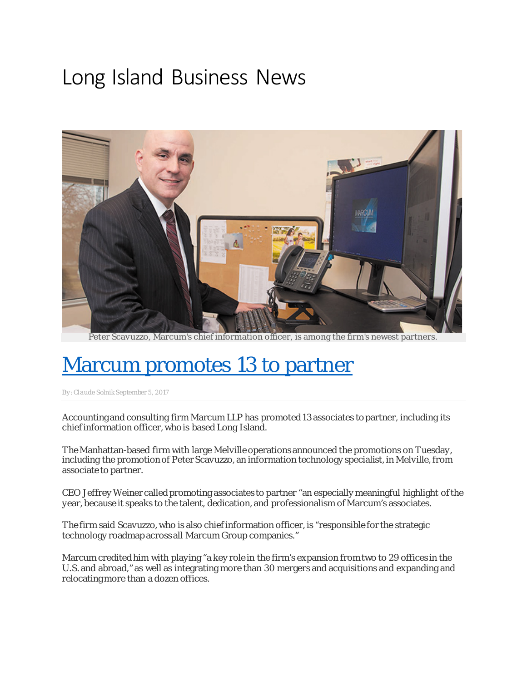## Long Island Business News



Peter Scavuzzo, Marcum's chief information officer, is among the firm's newest partners.

## [Marcum promotes 13 to partner](http://libn.com/2017/09/05/marcum-promotes-13-to-partner/)

By[: Claude Solnik S](http://libn.com/author/claudesolnik/)eptember 5, 2017

Accounting and consulting firm Marcum LLP has promoted 13 associates to partner, including its chief information officer, who is based Long Island.

The Manhattan-based firm with large Melville operations announced the promotions on Tuesday, including the promotion of Peter Scavuzzo, an information technology specialist, in Melville, from associate to partner.

CEO Jeffrey Weiner called promoting associates to partner "an especially meaningful highlight of the year, because it speaks to the talent, dedication, and professionalism of Marcum's associates.

The firm said Scavuzzo, who is also chief information officer, is "responsible for the strategic technology roadmap across all Marcum Group companies."

Marcum credited him with playing "a key role in the firm's expansion from two to 29 offices in the U.S. and abroad," as well as integrating more than 30 mergers and acquisitions and expanding and relocating more than a dozen offices.